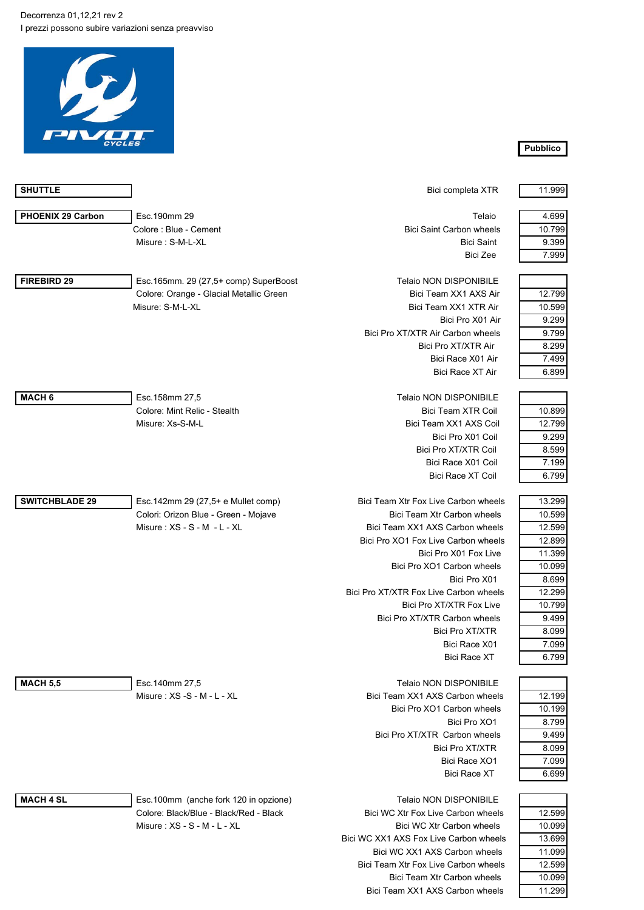Decorrenza 01,12,21 rev 2 I prezzi possono subire variazioni senza preavviso



| <b>SHUTTLE</b>           |                                         | Bici completa XTR                      | 11.999 |
|--------------------------|-----------------------------------------|----------------------------------------|--------|
| <b>PHOENIX 29 Carbon</b> | Esc. 190mm 29                           | Telaio                                 | 4.699  |
|                          | Colore: Blue - Cement                   | <b>Bici Saint Carbon wheels</b>        | 10.799 |
|                          | Misure: S-M-L-XL                        | <b>Bici Saint</b>                      | 9.399  |
|                          |                                         | <b>Bici Zee</b>                        | 7.999  |
| <b>FIREBIRD 29</b>       | Esc.165mm. 29 (27,5+ comp) SuperBoost   | <b>Telaio NON DISPONIBILE</b>          |        |
|                          | Colore: Orange - Glacial Metallic Green | Bici Team XX1 AXS Air                  | 12.799 |
|                          | Misure: S-M-L-XL                        | Bici Team XX1 XTR Air                  | 10.599 |
|                          |                                         | Bici Pro X01 Air                       | 9.299  |
|                          |                                         | Bici Pro XT/XTR Air Carbon wheels      | 9.799  |
|                          |                                         | Bici Pro XT/XTR Air                    | 8.299  |
|                          |                                         | Bici Race X01 Air                      | 7.499  |
|                          |                                         | <b>Bici Race XT Air</b>                | 6.899  |
| MACH <sub>6</sub>        | Esc.158mm 27,5                          | <b>Telaio NON DISPONIBILE</b>          |        |
|                          | Colore: Mint Relic - Stealth            | Bici Team XTR Coil                     | 10.899 |
|                          | Misure: Xs-S-M-L                        | Bici Team XX1 AXS Coil                 | 12.799 |
|                          |                                         | Bici Pro X01 Coil                      | 9.299  |
|                          |                                         |                                        |        |
|                          |                                         | Bici Pro XT/XTR Coil                   | 8.599  |
|                          |                                         | Bici Race X01 Coil                     | 7.199  |
|                          |                                         | <b>Bici Race XT Coil</b>               | 6.799  |
| <b>SWITCHBLADE 29</b>    | Esc.142mm 29 (27,5+ e Mullet comp)      | Bici Team Xtr Fox Live Carbon wheels   | 13.299 |
|                          | Colori: Orizon Blue - Green - Mojave    | Bici Team Xtr Carbon wheels            | 10.599 |
|                          | Misure: $XS - S - M - L - XL$           | Bici Team XX1 AXS Carbon wheels        | 12.599 |
|                          |                                         | Bici Pro XO1 Fox Live Carbon wheels    | 12.899 |
|                          |                                         | Bici Pro X01 Fox Live                  | 11.399 |
|                          |                                         | Bici Pro XO1 Carbon wheels             | 10.099 |
|                          |                                         | Bici Pro X01                           | 8.699  |
|                          |                                         | Bici Pro XT/XTR Fox Live Carbon wheels | 12.299 |
|                          |                                         | Bici Pro XT/XTR Fox Live               | 10.799 |
|                          |                                         | Bici Pro XT/XTR Carbon wheels          | 9.499  |
|                          |                                         | <b>Bici Pro XT/XTR</b>                 | 8.099  |
|                          |                                         | Bici Race X01                          | 7.099  |
|                          |                                         | <b>Bici Race XT</b>                    | 6.799  |
| <b>MACH 5,5</b>          | Esc.140mm 27,5                          | <b>Telaio NON DISPONIBILE</b>          |        |
|                          | Misure: XS -S - M - L - XL              | Bici Team XX1 AXS Carbon wheels        | 12.199 |
|                          |                                         | Bici Pro XO1 Carbon wheels             | 10.199 |
|                          |                                         | Bici Pro XO1                           | 8.799  |
|                          |                                         | Bici Pro XT/XTR Carbon wheels          | 9.499  |
|                          |                                         | Bici Pro XT/XTR                        | 8.099  |
|                          |                                         | Bici Race XO1                          | 7.099  |
|                          |                                         | <b>Bici Race XT</b>                    | 6.699  |
|                          |                                         |                                        |        |
| <b>MACH 4 SL</b>         | Esc.100mm (anche fork 120 in opzione)   | <b>Telaio NON DISPONIBILE</b>          |        |
|                          | Colore: Black/Blue - Black/Red - Black  | Bici WC Xtr Fox Live Carbon wheels     | 12.599 |
|                          | Misure: XS - S - M - L - XL             | Bici WC Xtr Carbon wheels              | 10.099 |
|                          |                                         | Bici WC XX1 AXS Fox Live Carbon wheels | 13.699 |
|                          |                                         | Bici WC XX1 AXS Carbon wheels          | 11.099 |

## **Pubblico**

| THRIQIO INVIN DIOFVINIDILE           |        |
|--------------------------------------|--------|
| Bici WC Xtr Fox Live Carbon wheels   | 12.599 |
| Bici WC Xtr Carbon wheels            | 10.099 |
| WC XX1 AXS Fox Live Carbon wheels    | 13.699 |
| Bici WC XX1 AXS Carbon wheels        | 11.099 |
| Bici Team Xtr Fox Live Carbon wheels | 12.599 |
| Bici Team Xtr Carbon wheels          | 10.099 |
| Bici Team XX1 AXS Carbon wheels      | 11.299 |